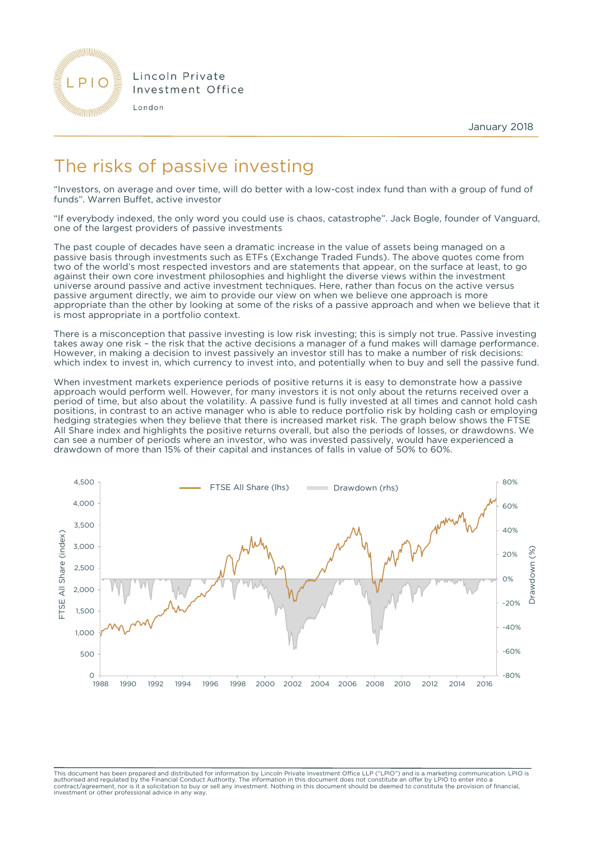

Lincoln Private Investment Office

London

January 2018

## The risks of passive investing

"Investors, on average and over time, will do better with a low-cost index fund than with a group of fund of funds". Warren Buffet, active investor

"If everybody indexed, the only word you could use is chaos, catastrophe". Jack Bogle, founder of Vanguard, one of the largest providers of passive investments

The past couple of decades have seen a dramatic increase in the value of assets being managed on a passive basis through investments such as ETFs (Exchange Traded Funds). The above quotes come from two of the world's most respected investors and are statements that appear, on the surface at least, to go against their own core investment philosophies and highlight the diverse views within the investment universe around passive and active investment techniques. Here, rather than focus on the active versus passive argument directly, we aim to provide our view on when we believe one approach is more appropriate than the other by looking at some of the risks of a passive approach and when we believe that it is most appropriate in a portfolio context.

There is a misconception that passive investing is low risk investing; this is simply not true. Passive investing takes away one risk – the risk that the active decisions a manager of a fund makes will damage performance. However, in making a decision to invest passively an investor still has to make a number of risk decisions: which index to invest in, which currency to invest into, and potentially when to buy and sell the passive fund.

When investment markets experience periods of positive returns it is easy to demonstrate how a passive approach would perform well. However, for many investors it is not only about the returns received over a period of time, but also about the volatility. A passive fund is fully invested at all times and cannot hold cash positions, in contrast to an active manager who is able to reduce portfolio risk by holding cash or employing hedging strategies when they believe that there is increased market risk. The graph below shows the FTSE All Share index and highlights the positive returns overall, but also the periods of losses, or drawdowns. We can see a number of periods where an investor, who was invested passively, would have experienced a drawdown of more than 15% of their capital and instances of falls in value of 50% to 60%.



This document has been prepared and distributed for information by Lincoln Private Investment Office LLP ("LPIO") and is a marketing communication. LPIO is<br>authorised and regulated by the Financial Conduct Authority. The i contract/agreement, nor is it a solicitation to buy or sell any investment. Nothing in this document should be deemed to constitute the provision of financial, investment or other professional advice in any way.